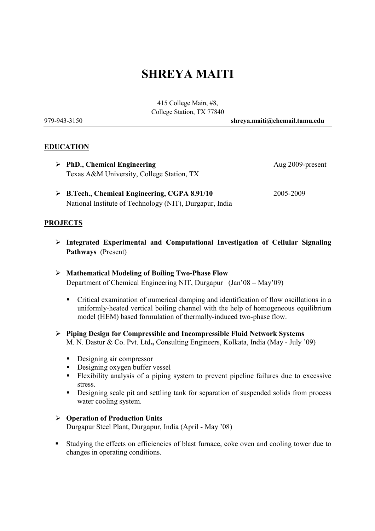# SHREYA MAITI

415 College Main, #8, College Station, TX 77840

979-943-3150 shreya.maiti@chemail.tamu.edu

### **EDUCATION**

- ▶ PhD., Chemical Engineering Aug 2009-present Texas A&M University, College Station, TX
- B.Tech., Chemical Engineering, CGPA 8.91/10 2005-2009 National Institute of Technology (NIT), Durgapur, India

#### PROJECTS

- $\triangleright$  Integrated Experimental and Computational Investigation of Cellular Signaling Pathways (Present)
- $\triangleright$  Mathematical Modeling of Boiling Two-Phase Flow Department of Chemical Engineering NIT, Durgapur (Jan'08 – May'09)
	- Critical examination of numerical damping and identification of flow oscillations in a uniformly-heated vertical boiling channel with the help of homogeneous equilibrium model (HEM) based formulation of thermally-induced two-phase flow.
- $\triangleright$  Piping Design for Compressible and Incompressible Fluid Network Systems M. N. Dastur & Co. Pvt. Ltd., Consulting Engineers, Kolkata, India (May - July '09)
	- **-** Designing air compressor
	- **-** Designing oxygen buffer vessel
	- Flexibility analysis of a piping system to prevent pipeline failures due to excessive stress.
	- - Designing scale pit and settling tank for separation of suspended solids from process water cooling system.

# Operation of Production Units

Durgapur Steel Plant, Durgapur, India (April - May '08)

- Studying the effects on efficiencies of blast furnace, coke oven and cooling tower due to changes in operating conditions.